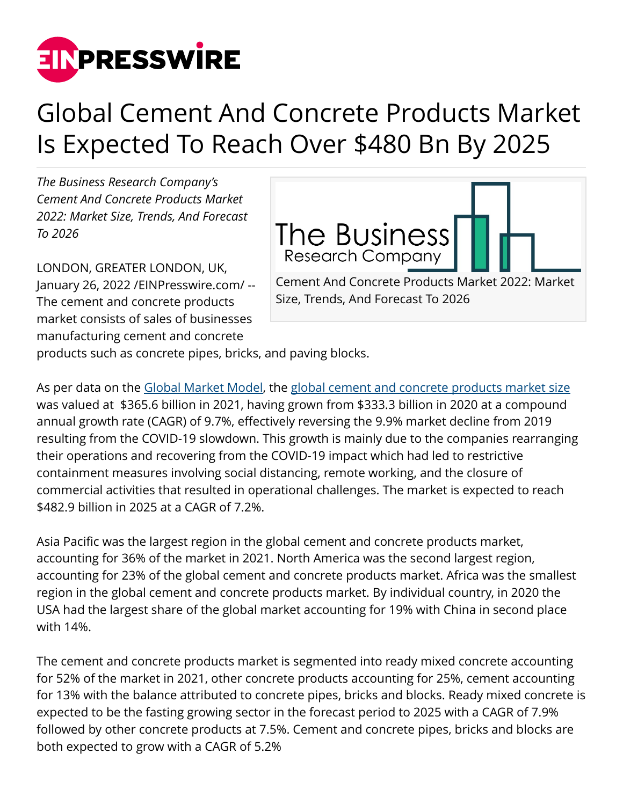

## Global Cement And Concrete Products Market Is Expected To Reach Over \$480 Bn By 2025

*The Business Research Company's Cement And Concrete Products Market 2022: Market Size, Trends, And Forecast To 2026*

LONDON, GREATER LONDON, UK, January 26, 2022 /[EINPresswire.com](http://www.einpresswire.com)/ -- The cement and concrete products market consists of sales of businesses manufacturing cement and concrete



Size, Trends, And Forecast To 2026

products such as concrete pipes, bricks, and paving blocks.

As per data on the [Global Market Model,](https://www.thebusinessresearchcompany.com/global-market-model) the [global cement and concrete products market size](https://www.thebusinessresearchcompany.com/report/cement-and-concrete-market) was valued at \$365.6 billion in 2021, having grown from \$333.3 billion in 2020 at a compound annual growth rate (CAGR) of 9.7%, effectively reversing the 9.9% market decline from 2019 resulting from the COVID-19 slowdown. This growth is mainly due to the companies rearranging their operations and recovering from the COVID-19 impact which had led to restrictive containment measures involving social distancing, remote working, and the closure of commercial activities that resulted in operational challenges. The market is expected to reach \$482.9 billion in 2025 at a CAGR of 7.2%.

Asia Pacific was the largest region in the global cement and concrete products market, accounting for 36% of the market in 2021. North America was the second largest region, accounting for 23% of the global cement and concrete products market. Africa was the smallest region in the global cement and concrete products market. By individual country, in 2020 the USA had the largest share of the global market accounting for 19% with China in second place with 14%.

The cement and concrete products market is segmented into ready mixed concrete accounting for 52% of the market in 2021, other concrete products accounting for 25%, cement accounting for 13% with the balance attributed to concrete pipes, bricks and blocks. Ready mixed concrete is expected to be the fasting growing sector in the forecast period to 2025 with a CAGR of 7.9% followed by other concrete products at 7.5%. Cement and concrete pipes, bricks and blocks are both expected to grow with a CAGR of 5.2%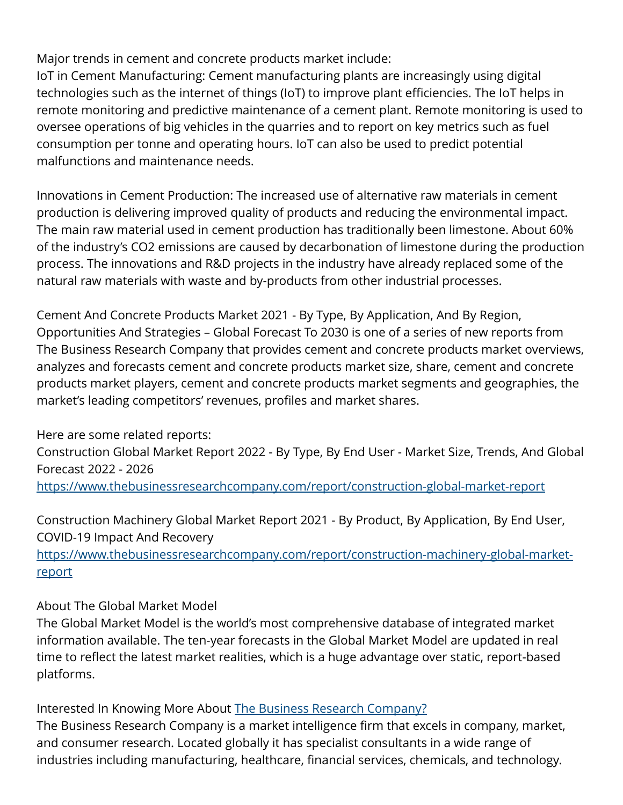Major trends in cement and concrete products market include:

IoT in Cement Manufacturing: Cement manufacturing plants are increasingly using digital technologies such as the internet of things (IoT) to improve plant efficiencies. The IoT helps in remote monitoring and predictive maintenance of a cement plant. Remote monitoring is used to oversee operations of big vehicles in the quarries and to report on key metrics such as fuel consumption per tonne and operating hours. IoT can also be used to predict potential malfunctions and maintenance needs.

Innovations in Cement Production: The increased use of alternative raw materials in cement production is delivering improved quality of products and reducing the environmental impact. The main raw material used in cement production has traditionally been limestone. About 60% of the industry's CO2 emissions are caused by decarbonation of limestone during the production process. The innovations and R&D projects in the industry have already replaced some of the natural raw materials with waste and by-products from other industrial processes.

Cement And Concrete Products Market 2021 - By Type, By Application, And By Region, Opportunities And Strategies – Global Forecast To 2030 is one of a series of new reports from The Business Research Company that provides cement and concrete products market overviews, analyzes and forecasts cement and concrete products market size, share, cement and concrete products market players, cement and concrete products market segments and geographies, the market's leading competitors' revenues, profiles and market shares.

Here are some related reports:

Construction Global Market Report 2022 - By Type, By End User - Market Size, Trends, And Global Forecast 2022 - 2026

<https://www.thebusinessresearchcompany.com/report/construction-global-market-report>

Construction Machinery Global Market Report 2021 - By Product, By Application, By End User, COVID-19 Impact And Recovery

[https://www.thebusinessresearchcompany.com/report/construction-machinery-global-market](https://www.thebusinessresearchcompany.com/report/construction-machinery-global-market-report)[report](https://www.thebusinessresearchcompany.com/report/construction-machinery-global-market-report)

About The Global Market Model

The Global Market Model is the world's most comprehensive database of integrated market information available. The ten-year forecasts in the Global Market Model are updated in real time to reflect the latest market realities, which is a huge advantage over static, report-based platforms.

Interested In Knowing More About [The Business Research Company?](https://www.thebusinessresearchcompany.com/)

The Business Research Company is a market intelligence firm that excels in company, market, and consumer research. Located globally it has specialist consultants in a wide range of industries including manufacturing, healthcare, financial services, chemicals, and technology.